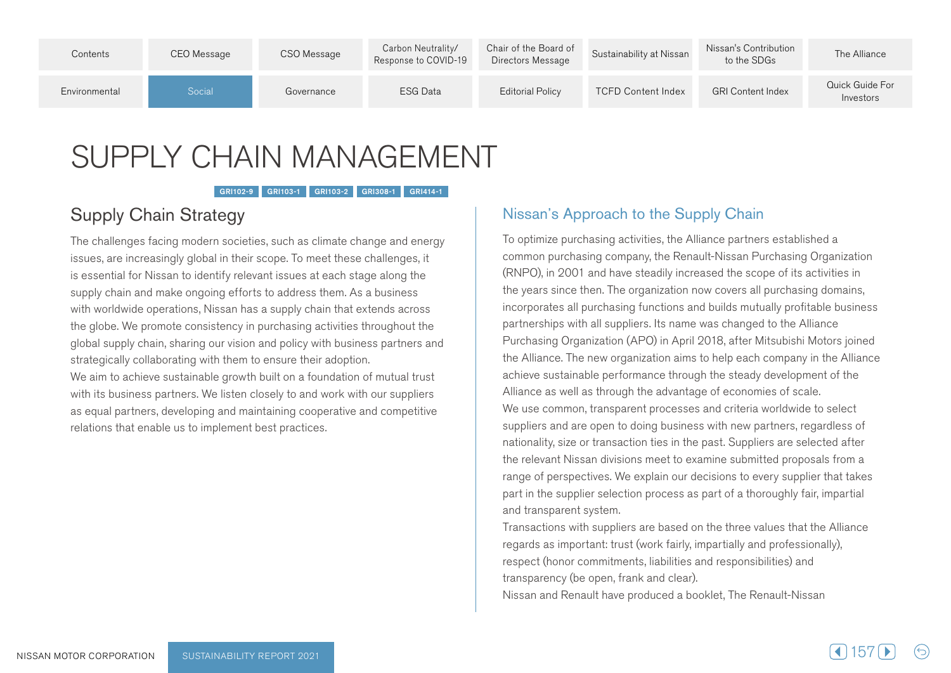| Contents      | CEO Message | CSO Message | Carbon Neutrality/<br>Response to COVID-19 | Chair of the Board of<br>Directors Message | Sustainability at Nissan  | Nissan's Contribution<br>to the SDGs | The Alliance                 |
|---------------|-------------|-------------|--------------------------------------------|--------------------------------------------|---------------------------|--------------------------------------|------------------------------|
| Environmental | Social      | Governance  | ESG Data                                   | <b>Editorial Policy</b>                    | <b>TCFD Content Index</b> | <b>GRI Content Index</b>             | Quick Guide For<br>Investors |

# SUPPLY CHAIN MANAGEMENT

GRI102-9 GRI103-1 GRI103-2 GRI308-1 GRI414-1

# Supply Chain Strategy

The challenges facing modern societies, such as climate change and energy issues, are increasingly global in their scope. To meet these challenges, it is essential for Nissan to identify relevant issues at each stage along the supply chain and make ongoing efforts to address them. As a business with worldwide operations, Nissan has a supply chain that extends across the globe. We promote consistency in purchasing activities throughout the global supply chain, sharing our vision and policy with business partners and strategically collaborating with them to ensure their adoption.

We aim to achieve sustainable growth built on a foundation of mutual trust with its business partners. We listen closely to and work with our suppliers as equal partners, developing and maintaining cooperative and competitive relations that enable us to implement best practices.

## Nissan's Approach to the Supply Chain

To optimize purchasing activities, the Alliance partners established a common purchasing company, the Renault-Nissan Purchasing Organization (RNPO), in 2001 and have steadily increased the scope of its activities in the years since then. The organization now covers all purchasing domains, incorporates all purchasing functions and builds mutually profitable business partnerships with all suppliers. Its name was changed to the Alliance Purchasing Organization (APO) in April 2018, after Mitsubishi Motors joined the Alliance. The new organization aims to help each company in the Alliance achieve sustainable performance through the steady development of the Alliance as well as through the advantage of economies of scale. We use common, transparent processes and criteria worldwide to select suppliers and are open to doing business with new partners, regardless of nationality, size or transaction ties in the past. Suppliers are selected after the relevant Nissan divisions meet to examine submitted proposals from a range of perspectives. We explain our decisions to every supplier that takes part in the supplier selection process as part of a thoroughly fair, impartial and transparent system.

Transactions with suppliers are based on the three values that the Alliance regards as important: trust (work fairly, impartially and professionally), respect (honor commitments, liabilities and responsibilities) and transparency (be open, frank and clear).

Nissan and Renault have produced a booklet, The Renault-Nissan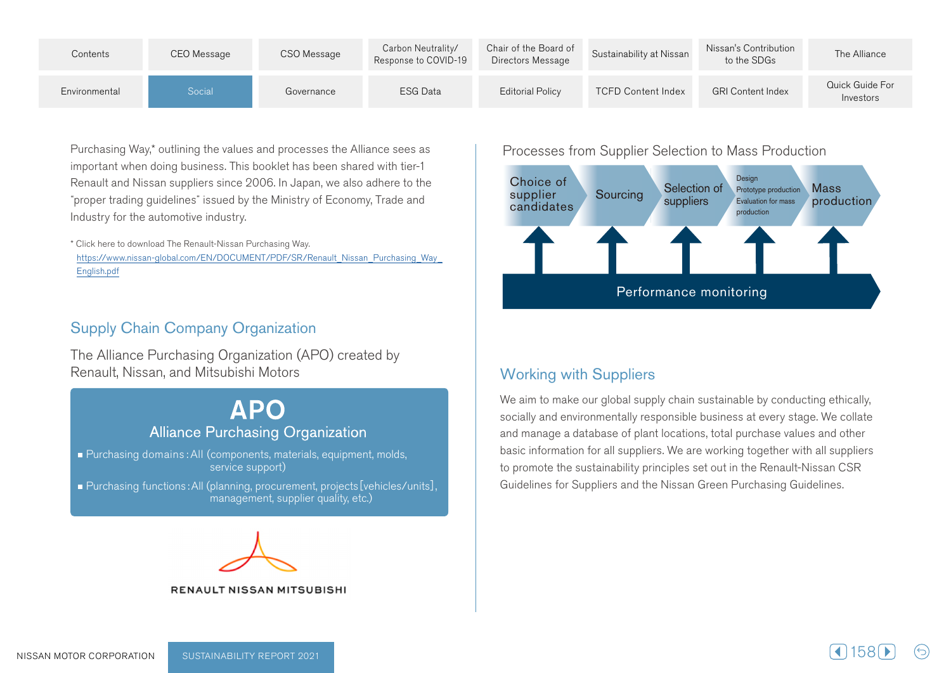| Contents      | CEO Message | CSO Message | Carbon Neutrality/<br>Response to COVID-19 | Chair of the Board of<br>Directors Message | Sustainability at Nissan  | Nissan's Contribution<br>to the SDGs | The Alliance                 |
|---------------|-------------|-------------|--------------------------------------------|--------------------------------------------|---------------------------|--------------------------------------|------------------------------|
| Environmental | Social      | Governance  | <b>ESG Data</b>                            | <b>Editorial Policy</b>                    | <b>TCFD Content Index</b> | <b>GRI Content Index</b>             | Quick Guide For<br>Investors |

Purchasing Way,\* outlining the values and processes the Alliance sees as important when doing business. This booklet has been shared with tier-1 Renault and Nissan suppliers since 2006. In Japan, we also adhere to the "proper trading quidelines" issued by the Ministry of Economy, Trade and Industry for the automotive industry.

\* Click here to download The Renault-Nissan Purchasing Way. https://www.nissan-global.com/EN/DOCUMENT/PDF/SR/Renault Nissan Purchasing Way English.pdf

### **Supply Chain Company Organization**

The Alliance Purchasing Organization (APO) created by Renault, Nissan, and Mitsubishi Motors

## **APO Alliance Purchasing Organization**

■ Purchasing domains : All (components, materials, equipment, molds, service support)

■ Purchasing functions: All (planning, procurement, projects [vehicles/units], management, supplier quality, etc.)



#### **RENAULT NISSAN MITSUBISHI**

Processes from Supplier Selection to Mass Production



## **Working with Suppliers**

We aim to make our global supply chain sustainable by conducting ethically, socially and environmentally responsible business at every stage. We collate and manage a database of plant locations, total purchase values and other basic information for all suppliers. We are working together with all suppliers to promote the sustainability principles set out in the Renault-Nissan CSR Guidelines for Suppliers and the Nissan Green Purchasing Guidelines.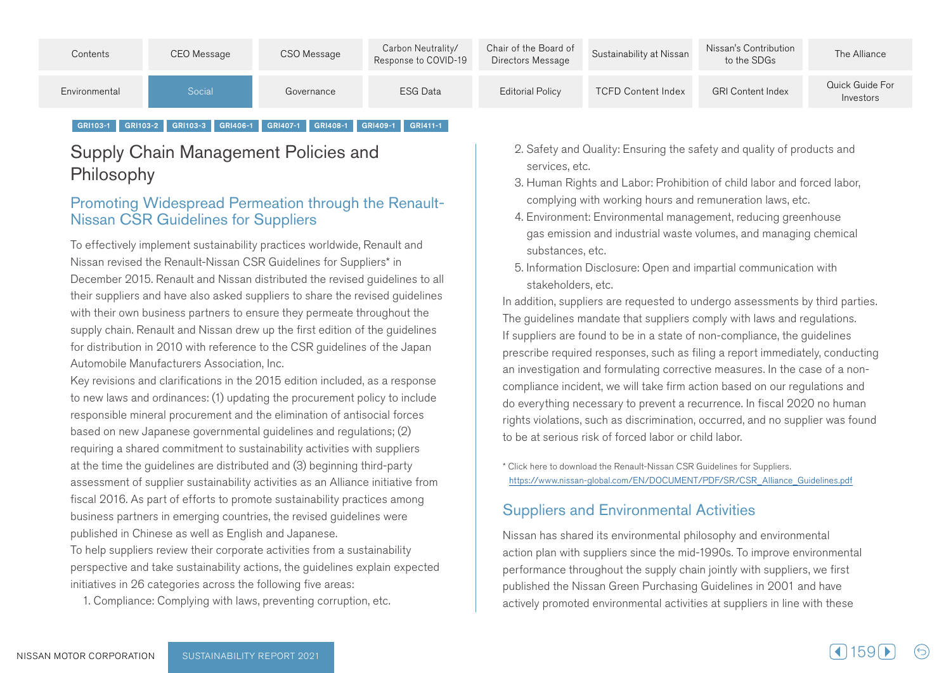| Contents      | CEO Message | CSO Message | Carbon Neutrality/<br>Response to COVID-19 | Chair of the Board of<br>Directors Message | Sustainability at Nissan  | Nissan's Contribution<br>to the SDGs | The Alliance                 |
|---------------|-------------|-------------|--------------------------------------------|--------------------------------------------|---------------------------|--------------------------------------|------------------------------|
| Environmental | Social      | Governance  | <b>ESG Data</b>                            | Editorial Policy                           | <b>TCFD Content Index</b> | <b>GRI Content Index</b>             | Quick Guide For<br>Investors |

#### GRI103-1 GRI103-2 GRI103-3 GRI406-1 GRI407-1 GRI408-1 GRI409-1 GRI411-1

## Supply Chain Management Policies and Philosophy

# Promoting Widespread Permeation through the Renault-<br>Nissan CSR Guidelines for Suppliers

To effectively implement sustainability practices worldwide, Renault and Nissan revised the Renault-Nissan CSR Guidelines for Suppliers\* in December 2015. Renault and Nissan distributed the revised guidelines to all their suppliers and have also asked suppliers to share the revised quidelines with their own business partners to ensure they permeate throughout the supply chain. Renault and Nissan drew up the first edition of the guidelines for distribution in 2010 with reference to the CSR guidelines of the Japan Automobile Manufacturers Association, Inc.

Key revisions and clarifications in the 2015 edition included, as a response to new laws and ordinances: (1) updating the procurement policy to include responsible mineral procurement and the elimination of antisocial forces based on new Japanese governmental guidelines and regulations; (2) requiring a shared commitment to sustainability activities with suppliers at the time the quidelines are distributed and (3) beginning third-party assessment of supplier sustainability activities as an Alliance initiative from fiscal 2016. As part of efforts to promote sustainability practices among business partners in emerging countries, the revised guidelines were published in Chinese as well as English and Japanese.

To help suppliers review their corporate activities from a sustainability perspective and take sustainability actions, the guidelines explain expected initiatives in 26 categories across the following five areas:

1. Compliance: Complying with laws, preventing corruption, etc.

- 2. Safety and Quality: Ensuring the safety and quality of products and services, etc.
- 3. Human Rights and Labor: Prohibition of child labor and forced labor, complying with working hours and remuneration laws, etc.
- 4. Environment: Environmental management, reducing greenhouse gas emission and industrial waste volumes, and managing chemical substances, etc.
- 5. Information Disclosure: Open and impartial communication with stakeholders, etc.

.particular third by third parties the requested to undergo assessments by third parties. The guidelines mandate that suppliers comply with laws and regulations. If suppliers are found to be in a state of non-compliance, the guidelines prescribe required responses, such as filing a report immediately, conducting compliance incident, we will take firm action based on our regulations and an investigation and formulating corrective measures. In the case of a nondo everything necessary to prevent a recurrence. In fiscal 2020 no human rights violations, such as discrimination, occurred, and no supplier was found to be at serious risk of forced labor or child labor.

\* Click here to download the Renault-Nissan CSR Guidelines for Suppliers. https://www.nissan-global.com/EN/DOCUMENT/PDF/SR/CSR\_Alliance\_Guidelines.pdf

#### **Suppliers and Environmental Activities**

Nissan has shared its environmental philosophy and environmental action plan with suppliers since the mid-1990s. To improve environmental performance throughout the supply chain jointly with suppliers, we first published the Nissan Green Purchasing Guidelines in 2001 and have actively promoted environmental activities at suppliers in line with these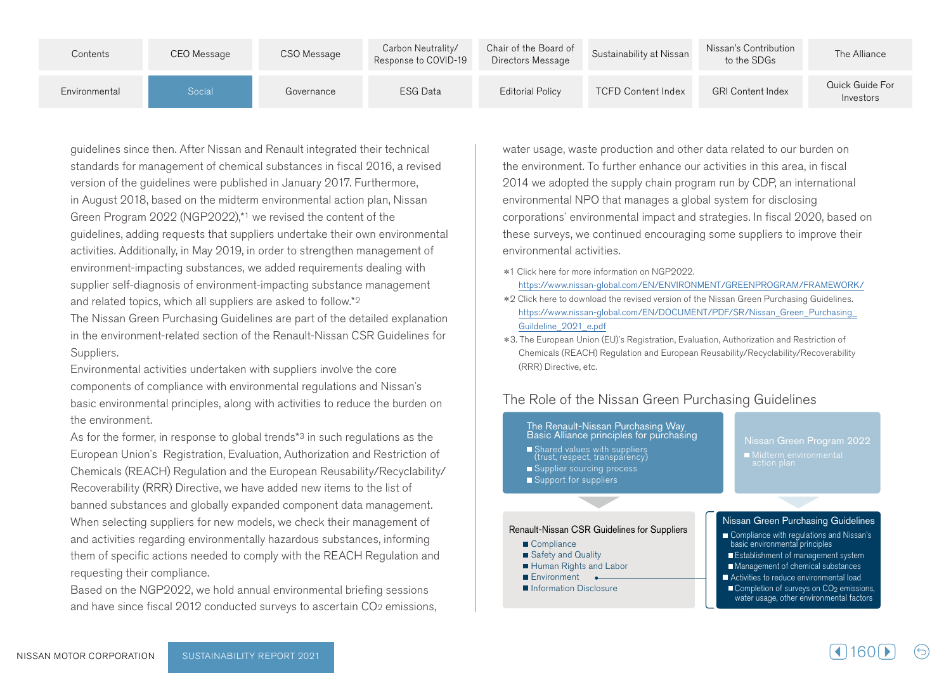| Contents      | CEO Message | CSO Message | Carbon Neutrality/<br>Response to COVID-19 | Chair of the Board of<br>Directors Message | Sustainability at Nissan  | Nissan's Contribution<br>to the SDGs | The Alliance                 |
|---------------|-------------|-------------|--------------------------------------------|--------------------------------------------|---------------------------|--------------------------------------|------------------------------|
| Environmental | Social      | Governance  | <b>ESG Data</b>                            | <b>Editorial Policy</b>                    | <b>TCFD Content Index</b> | <b>GRI Content Index</b>             | Quick Guide For<br>Investors |

quidelines since then. After Nissan and Renault integrated their technical standards for management of chemical substances in fiscal 2016, a revised version of the quidelines were published in January 2017. Furthermore, in August 2018, based on the midterm environmental action plan, Nissan Green Program 2022 (NGP2022), $*$ <sup>1</sup> we revised the content of the quidelines, adding requests that suppliers undertake their own environmental activities. Additionally, in May 2019, in order to strengthen management of environment-impacting substances, we added requirements dealing with supplier self-diagnosis of environment-impacting substance management and related topics, which all suppliers are asked to follow.\*2

The Nissan Green Purchasing Guidelines are part of the detailed explanation in the environment-related section of the Renault-Nissan CSR Guidelines for Suppliers.

Environmental activities undertaken with suppliers involve the core components of compliance with environmental regulations and Nissan's basic environmental principles, along with activities to reduce the burden on the environment.

As for the former, in response to global trends<sup> $*3$ </sup> in such regulations as the European Union's Registration, Evaluation, Authorization and Restriction of Chemicals (REACH) Regulation and the European Reusability/Recyclability/ Recoverability (RRR) Directive, we have added new items to the list of banned substances and globally expanded component data management. When selecting suppliers for new models, we check their management of and activities regarding environmentally hazardous substances, informing them of specific actions needed to comply with the REACH Regulation and requesting their compliance.

Based on the NGP2022, we hold annual environmental briefing sessions and have since fiscal 2012 conducted surveys to ascertain CO<sub>2</sub> emissions, water usage, waste production and other data related to our burden on the environment. To further enhance our activities in this area, in fiscal 2014 we adopted the supply chain program run by CDP, an international environmental NPO that manages a global system for disclosing corporations' environmental impact and strategies. In fiscal 2020, based on these surveys, we continued encouraging some suppliers to improve their environmental activities.

- \*1 Click here for more information on NGP2022. https://www.nissan-global.com/EN/ENVIRONMENT/GREENPROGRAM/FRAMEWORK/
- \*2 Click here to download the revised version of the Nissan Green Purchasing Guidelines. https://www.nissan-global.com/EN/DOCUMENT/PDF/SR/Nissan Green Purchasing Guildeline 2021 e.pdf
- \*3. The European Union (EU)'s Registration, Evaluation, Authorization and Restriction of Chemicals (REACH) Regulation and European Reusability/Recyclability/Recoverability (RRR) Directive, etc.

#### The Role of the Nissan Green Purchasing Guidelines

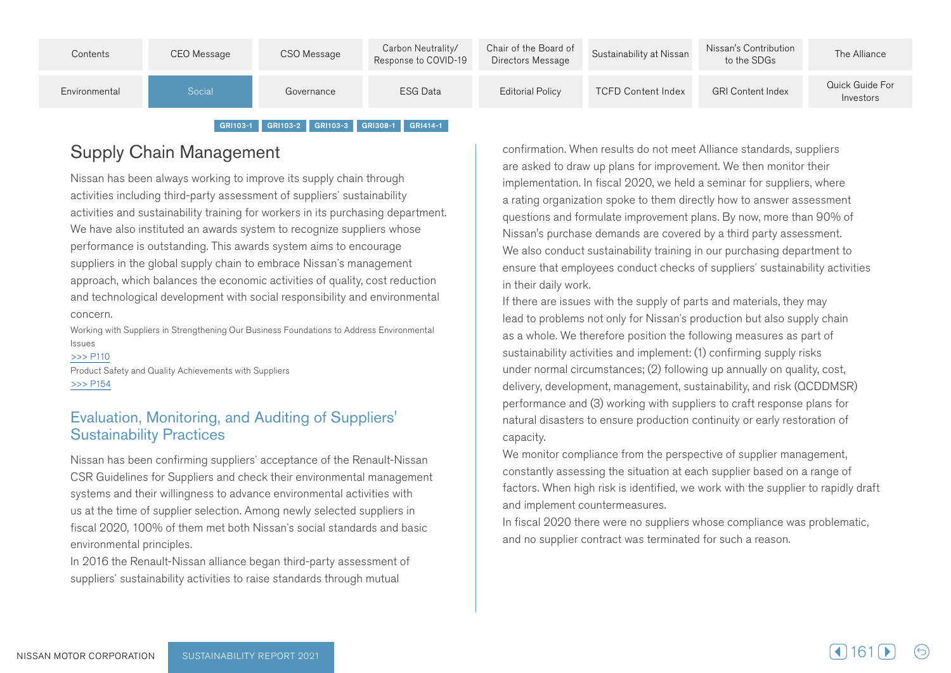| Contents      | CEO Message | CSO Message | Carbon Neutrality/<br>Response to COVID-19 | Chair of the Board of<br>Directors Message | Sustainability at Nissan  | Nissan's Contribution<br>to the SDGs | The Alliance                 |
|---------------|-------------|-------------|--------------------------------------------|--------------------------------------------|---------------------------|--------------------------------------|------------------------------|
| Environmental | Social      | Governance  | <b>ESG Data</b>                            | Editorial Policy                           | <b>TCFD Content Index</b> | <b>GRI Content Index</b>             | Quick Guide For<br>Investors |
|               |             |             |                                            |                                            |                           |                                      |                              |

#### GRI103-1 GRI103-2 GRI103-3 GRI308-1 GRI414-1

## Supply Chain Management

Nissan has been always working to improve its supply chain through activities including third-party assessment of suppliers' sustainability activities and sustainability training for workers in its purchasing department. We have also instituted an awards system to recognize suppliers whose performance is outstanding. This awards system aims to encourage suppliers in the global supply chain to embrace Nissan's management approach, which balances the economic activities of quality, cost reduction and technological development with social responsibility and environmental .concern

Working with Suppliers in Strengthening Our Business Foundations to Address Environmental Issues

 $>>$  P110 Product Safety and Quality Achievements with Suppliers  $>>$  P154

#### Evaluation, Monitoring, and Auditing of Suppliers' **Sustainability Practices**

Nissan has been confirming suppliers' acceptance of the Renault-Nissan CSR Guidelines for Suppliers and check their environmental management systems and their willingness to advance environmental activities with us at the time of supplier selection. Among newly selected suppliers in fiscal 2020, 100% of them met both Nissan's social standards and basic environmental principles.

In 2016 the Renault-Nissan alliance began third-party assessment of suppliers' sustainability activities to raise standards through mutual

confirmation. When results do not meet Alliance standards, suppliers are asked to draw up plans for improvement. We then monitor their implementation. In fiscal 2020, we held a seminar for suppliers, where a rating organization spoke to them directly how to answer assessment questions and formulate improvement plans. By now, more than 90% of Nissan's purchase demands are covered by a third party assessment. We also conduct sustainability training in our purchasing department to ensure that employees conduct checks of suppliers' sustainability activities in their daily work.

If there are issues with the supply of parts and materials, they may lead to problems not only for Nissan's production but also supply chain as a whole. We therefore position the following measures as part of sustainability activities and implement: (1) confirming supply risks under normal circumstances; (2) following up annually on quality, cost, delivery, development, management, sustainability, and risk (QCDDMSR) performance and (3) working with suppliers to craft response plans for natural disasters to ensure production continuity or early restoration of .capacity

We monitor compliance from the perspective of supplier management, constantly assessing the situation at each supplier based on a range of factors. When high risk is identified, we work with the supplier to rapidly draft and implement countermeasures.

In fiscal 2020 there were no suppliers whose compliance was problematic, and no supplier contract was terminated for such a reason.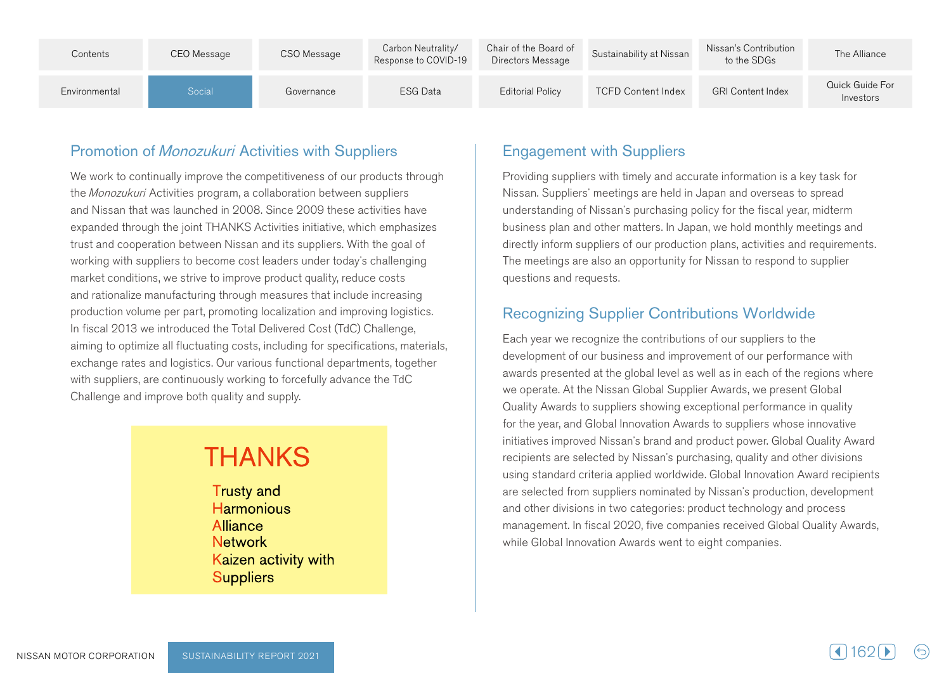| Contents      | CEO Message | CSO Message | Carbon Neutrality/<br>Response to COVID-19 | Chair of the Board of<br>Directors Message | Sustainability at Nissan  | Nissan's Contribution<br>to the SDGs | The Alliance                 |
|---------------|-------------|-------------|--------------------------------------------|--------------------------------------------|---------------------------|--------------------------------------|------------------------------|
| Environmental | Social      | Governance  | <b>ESG Data</b>                            | <b>Editorial Policy</b>                    | <b>TCFD Content Index</b> | <b>GRI Content Index</b>             | Quick Guide For<br>Investors |

## Promotion of Monozukuri Activities with Suppliers

We work to continually improve the competitiveness of our products through the Monozukuri Activities program, a collaboration between suppliers and Nissan that was launched in 2008. Since 2009 these activities have expanded through the joint THANKS Activities initiative, which emphasizes trust and cooperation between Nissan and its suppliers. With the goal of working with suppliers to become cost leaders under today's challenging market conditions, we strive to improve product quality, reduce costs and rationalize manufacturing through measures that include increasing production volume per part, promoting localization and improving logistics. In fiscal 2013 we introduced the Total Delivered Cost (TdC) Challenge, aiming to optimize all fluctuating costs, including for specifications, materials, exchange rates and logistics. Our various functional departments, together with suppliers, are continuously working to forcefully advance the TdC Challenge and improve both quality and supply.

# **THANKS**

**Trusty and Harmonious Alliance Network** Kaizen activity with **Suppliers** 

## **Engagement with Suppliers**

Providing suppliers with timely and accurate information is a key task for Nissan. Suppliers' meetings are held in Japan and overseas to spread understanding of Nissan's purchasing policy for the fiscal year, midterm business plan and other matters. In Japan, we hold monthly meetings and directly inform suppliers of our production plans, activities and requirements. The meetings are also an opportunity for Nissan to respond to supplier questions and requests.

## Recognizing Supplier Contributions Worldwide

Each year we recognize the contributions of our suppliers to the development of our business and improvement of our performance with awards presented at the global level as well as in each of the regions where we operate. At the Nissan Global Supplier Awards, we present Global Quality Awards to suppliers showing exceptional performance in quality for the year, and Global Innovation Awards to suppliers whose innovative initiatives improved Nissan's brand and product power. Global Quality Award recipients are selected by Nissan's purchasing, quality and other divisions using standard criteria applied worldwide. Global Innovation Award recipients are selected from suppliers nominated by Nissan's production, development and other divisions in two categories: product technology and process management. In fiscal 2020, five companies received Global Quality Awards, while Global Innovation Awards went to eight companies.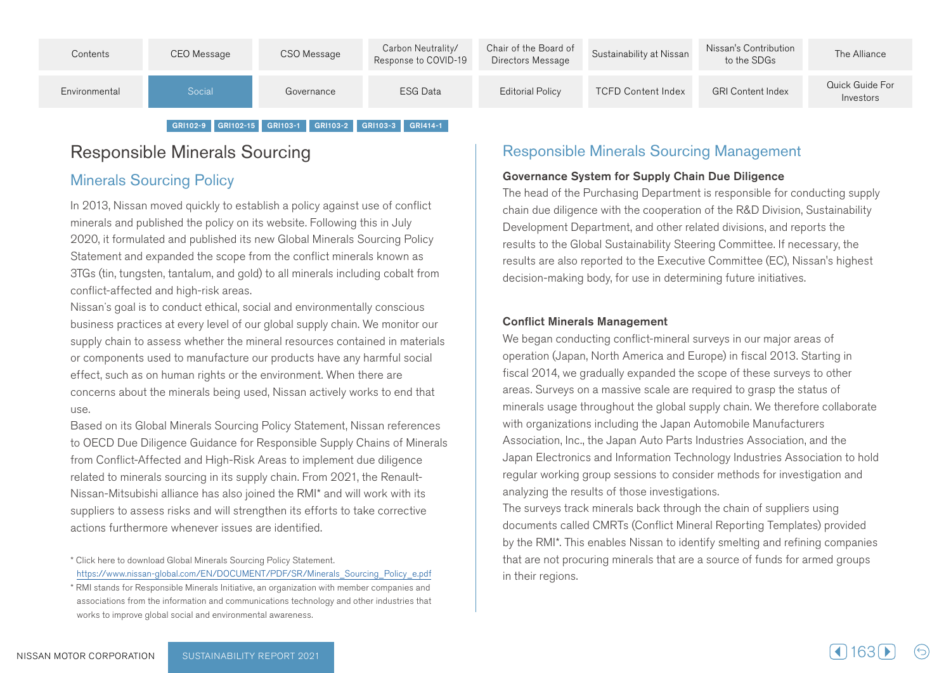

#### GRI102-9 GRI102-15 GRI103-1 GRI103-2 GRI103-3 GRI414-1

## Responsible Minerals Sourcing

#### **Minerals Sourcing Policy**

In 2013. Nissan moved quickly to establish a policy against use of conflict minerals and published the policy on its website. Following this in July 2020, it formulated and published its new Global Minerals Sourcing Policy Statement and expanded the scope from the conflict minerals known as from the cobalt from cobalt including and sold its all minerals including cobalt from 3TGs (tin tends) 3TGs (TGS3) 3TGs  $3T$ conflict-affected and high-risk areas.

Nissan's goal is to conduct ethical, social and environmentally conscious business practices at every level of our global supply chain. We monitor our supply chain to assess whether the mineral resources contained in materials or components used to manufacture our products have any harmful social effect, such as on human rights or the environment. When there are concerns about the minerals being used, Nissan actively works to end that  $IISP$ 

Based on its Global Minerals Sourcing Policy Statement. Nissan references to OECD Due Diligence Guidance for Responsible Supply Chains of Minerals from Conflict-Affected and High-Risk Areas to implement due diligence Nissan-Mitsubishi alliance has also ioined the RMI\* and will work with its related to minerals sourcing in its supply chain. From 2021, the Renaultsuppliers to assess risks and will strengthen its efforts to take corrective actions furthermore whenever issues are identified.

\* Click here to download Global Minerals Sourcing Policy Statement.

#### **Responsible Minerals Sourcing Management**

#### Governance System for Supply Chain Due Diligence

The head of the Purchasing Department is responsible for conducting supply chain due diligence with the cooperation of the R&D Division, Sustainability Development Department, and other related divisions, and reports the results to the Global Sustainability Steering Committee. If necessary, the results are also reported to the Executive Committee (EC), Nissan's highest decision-making body, for use in determining future initiatives.

#### **Conflict Minerals Management**

We began conducting conflict-mineral surveys in our major areas of operation (Japan, North America and Europe) in fiscal 2013. Starting in fiscal 2014, we gradually expanded the scope of these surveys to other areas. Surveys on a massive scale are required to grasp the status of minerals usage throughout the global supply chain. We therefore collaborate with organizations including the Japan Automobile Manufacturers Association, Inc., the Japan Auto Parts Industries Association, and the Japan Electronics and Information Technology Industries Association to hold regular working group sessions to consider methods for investigation and analyzing the results of those investigations.

The surveys track minerals back through the chain of suppliers using documents called CMRTs (Conflict Mineral Reporting Templates) provided by the RMI\*. This enables Nissan to identify smelting and refining companies that are not procuring minerals that are a source of funds for armed groups in their regions.

https://www.nissan-global.com/EN/DOCUMENT/PDF/SR/Minerals Sourcing Policy e.pdf

<sup>\*</sup> RMI stands for Responsible Minerals Initiative, an organization with member companies and associations from the information and communications technology and other industries that works to improve global social and environmental awareness.